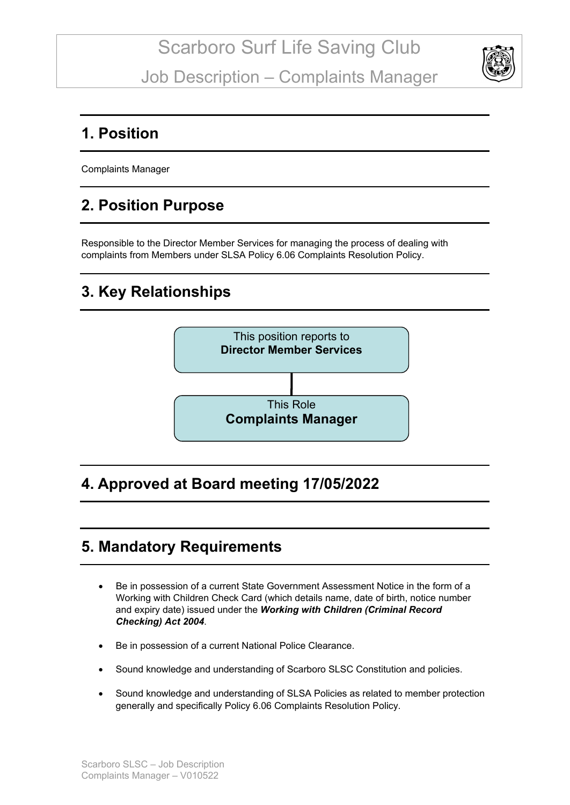

#### **1. Position**

Complaints Manager

# **2. Position Purpose**

Responsible to the Director Member Services for managing the process of dealing with complaints from Members under SLSA Policy 6.06 Complaints Resolution Policy.

## **3. Key Relationships**



## **4. Approved at Board meeting 17/05/2022**

### **5. Mandatory Requirements**

- Be in possession of a current State Government Assessment Notice in the form of a Working with Children Check Card (which details name, date of birth, notice number and expiry date) issued under the *Working with Children (Criminal Record Checking) Act 2004*.
- Be in possession of a current National Police Clearance.
- Sound knowledge and understanding of Scarboro SLSC Constitution and policies.
- Sound knowledge and understanding of SLSA Policies as related to member protection generally and specifically Policy 6.06 Complaints Resolution Policy.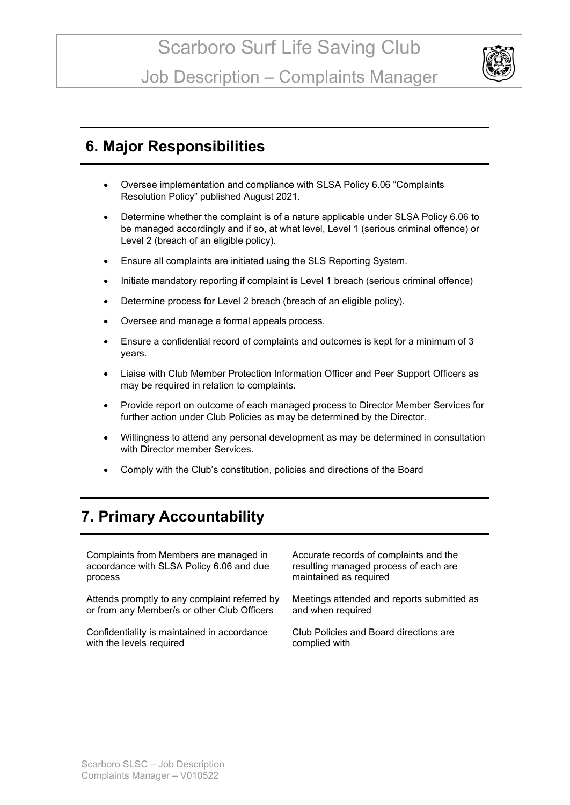

#### **6. Major Responsibilities**

- Oversee implementation and compliance with SLSA Policy 6.06 "Complaints Resolution Policy" published August 2021.
- Determine whether the complaint is of a nature applicable under SLSA Policy 6.06 to be managed accordingly and if so, at what level, Level 1 (serious criminal offence) or Level 2 (breach of an eligible policy).
- Ensure all complaints are initiated using the SLS Reporting System.
- Initiate mandatory reporting if complaint is Level 1 breach (serious criminal offence)
- Determine process for Level 2 breach (breach of an eligible policy).
- Oversee and manage a formal appeals process.
- Ensure a confidential record of complaints and outcomes is kept for a minimum of 3 years.
- Liaise with Club Member Protection Information Officer and Peer Support Officers as may be required in relation to complaints.
- Provide report on outcome of each managed process to Director Member Services for further action under Club Policies as may be determined by the Director.
- Willingness to attend any personal development as may be determined in consultation with Director member Services.
- Comply with the Club's constitution, policies and directions of the Board

## **7. Primary Accountability**

Complaints from Members are managed in accordance with SLSA Policy 6.06 and due process

Attends promptly to any complaint referred by or from any Member/s or other Club Officers

Confidentiality is maintained in accordance with the levels required

Accurate records of complaints and the resulting managed process of each are maintained as required

Meetings attended and reports submitted as and when required

Club Policies and Board directions are complied with